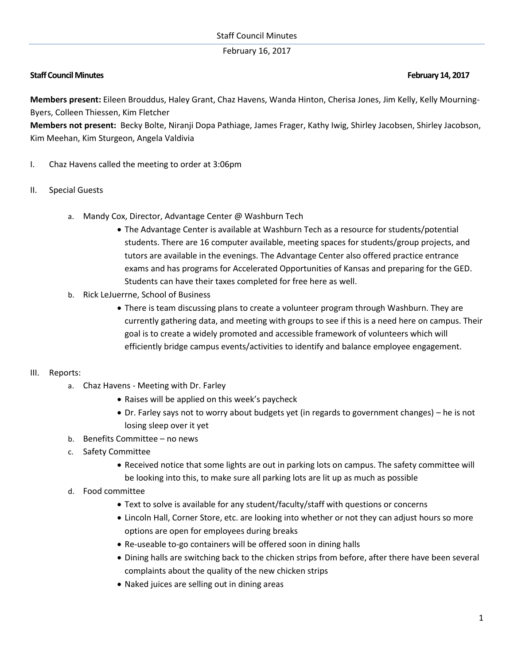## February 16, 2017

# **Staff Council Minutes February 14, 2017**

**Members present:** Eileen Brouddus, Haley Grant, Chaz Havens, Wanda Hinton, Cherisa Jones, Jim Kelly, Kelly Mourning-Byers, Colleen Thiessen, Kim Fletcher

**Members not present:** Becky Bolte, Niranji Dopa Pathiage, James Frager, Kathy Iwig, Shirley Jacobsen, Shirley Jacobson, Kim Meehan, Kim Sturgeon, Angela Valdivia

- I. Chaz Havens called the meeting to order at 3:06pm
- II. Special Guests
	- a. Mandy Cox, Director, Advantage Center @ Washburn Tech
		- The Advantage Center is available at Washburn Tech as a resource for students/potential students. There are 16 computer available, meeting spaces for students/group projects, and tutors are available in the evenings. The Advantage Center also offered practice entrance exams and has programs for Accelerated Opportunities of Kansas and preparing for the GED. Students can have their taxes completed for free here as well.
	- b. Rick LeJuerrne, School of Business
		- There is team discussing plans to create a volunteer program through Washburn. They are currently gathering data, and meeting with groups to see if this is a need here on campus. Their goal is to create a widely promoted and accessible framework of volunteers which will efficiently bridge campus events/activities to identify and balance employee engagement.

### III. Reports:

- a. Chaz Havens Meeting with Dr. Farley
	- Raises will be applied on this week's paycheck
	- Dr. Farley says not to worry about budgets yet (in regards to government changes) he is not losing sleep over it yet
- b. Benefits Committee no news
- c. Safety Committee
	- Received notice that some lights are out in parking lots on campus. The safety committee will be looking into this, to make sure all parking lots are lit up as much as possible
- d. Food committee
	- Text to solve is available for any student/faculty/staff with questions or concerns
	- Lincoln Hall, Corner Store, etc. are looking into whether or not they can adjust hours so more options are open for employees during breaks
	- Re-useable to-go containers will be offered soon in dining halls
	- Dining halls are switching back to the chicken strips from before, after there have been several complaints about the quality of the new chicken strips
	- Naked juices are selling out in dining areas